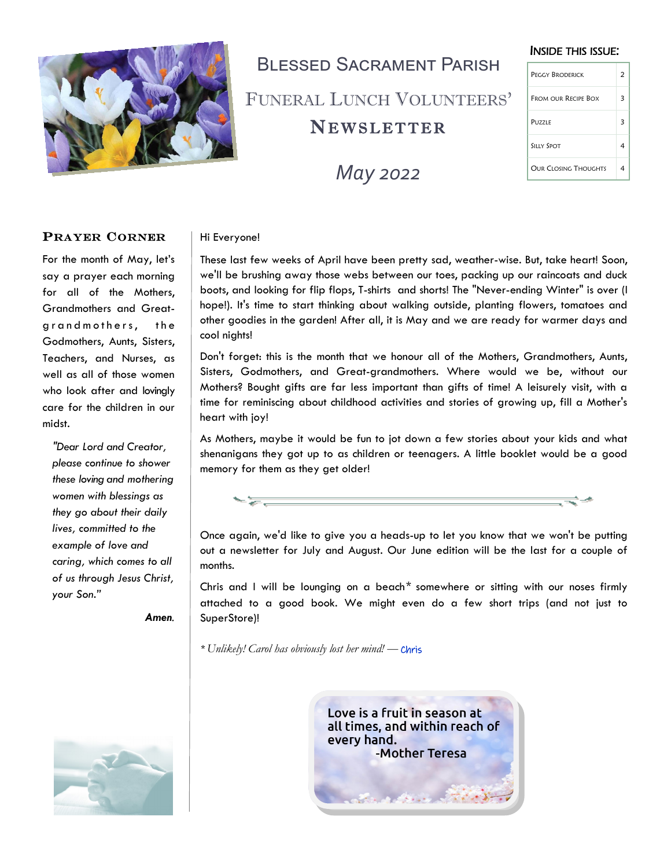

# **BI ESSED SACRAMENT PARISH** FUNERAL LUNCH VOLUNTEERS'

# **NEWSLETTER**



#### INSIDE THIS ISSUE:

| PEGGY BRODERICK      | 2 |
|----------------------|---|
| FROM OUR RECIPE BOX  | 3 |
| <b>PUZZLE</b>        | З |
| <b>SILLY SPOT</b>    |   |
| OUR CLOSING THOUGHTS |   |

#### PRAYER CORNER

For the month of May, let's say a prayer each morning for all of the Mothers, Grandmothers and Greatgrand mothers, the Godmothers, Aunts, Sisters, Teachers, and Nurses, as well as all of those women who look after and lovingly care for the children in our midst.

*"Dear Lord and Creator, please continue to shower these loving and mothering women with blessings as they go about their daily lives, committed to the example of love and caring, which comes to all of us through Jesus Christ, your Son."*

*Amen.*

#### Hi Everyone!

These last few weeks of April have been pretty sad, weather-wise. But, take heart! Soon, we'll be brushing away those webs between our toes, packing up our raincoats and duck boots, and looking for flip flops, T-shirts and shorts! The "Never-ending Winter" is over (I hope!). It's time to start thinking about walking outside, planting flowers, tomatoes and other goodies in the garden! After all, it is May and we are ready for warmer days and cool nights!

Don't forget: this is the month that we honour all of the Mothers, Grandmothers, Aunts, Sisters, Godmothers, and Great-grandmothers. Where would we be, without our Mothers? Bought gifts are far less important than gifts of time! A leisurely visit, with a time for reminiscing about childhood activities and stories of growing up, fill a Mother's heart with joy!

As Mothers, maybe it would be fun to jot down a few stories about your kids and what shenanigans they got up to as children or teenagers. A little booklet would be a good memory for them as they get older!



Once again, we'd like to give you a heads-up to let you know that we won't be putting out a newsletter for July and August. Our June edition will be the last for a couple of months.

Chris and I will be lounging on a beach*\** somewhere or sitting with our noses firmly attached to a good book. We might even do a few short trips (and not just to SuperStore)!

*\* Unlikely! Carol has obviously lost her mind! —* Chris



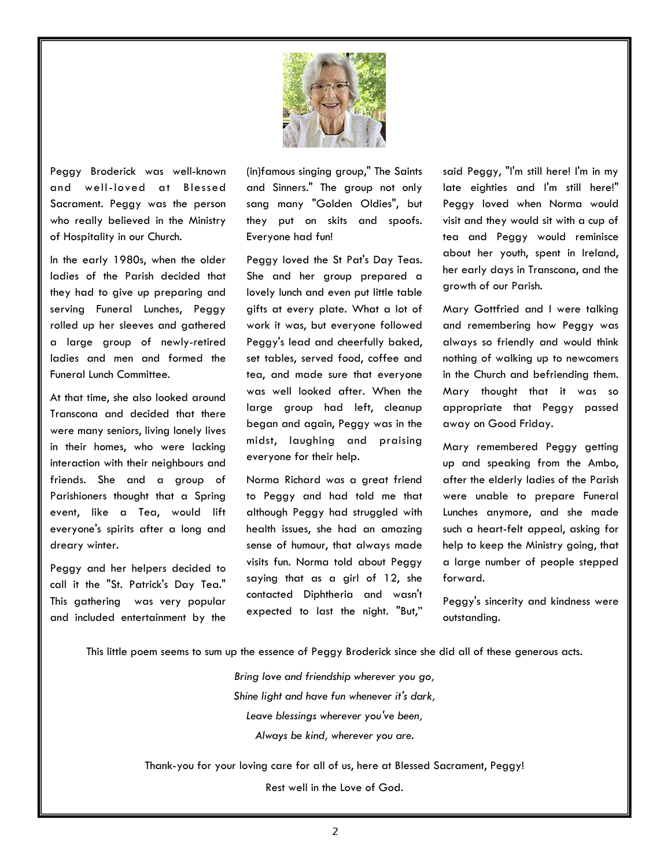

Peggy Broderick was well-known and well-loved at Blessed Sacrament. Peggy was the person who really believed in the Ministry of Hospitality in our Church.

In the early 1980s, when the older ladies of the Parish decided that they had to give up preparing and serving Funeral Lunches, Peggy rolled up her sleeves and gathered a large group of newly-retired ladies and men and formed the Funeral Lunch Committee.

At that time, she also looked around Transcona and decided that there were many seniors, living lonely lives in their homes, who were lacking interaction with their neighbours and friends. She and a group of Parishioners thought that a Spring event, like a Tea, would lift everyone's spirits after a long and dreary winter.

Peggy and her helpers decided to call it the "St. Patrick's Day Tea." This gathering was very popular and included entertainment by the (in)famous singing group," The Saints and Sinners." The group not only sang many "Golden Oldies", but they put on skits and spoofs. Everyone had fun!

Peggy loved the St Pat's Day Teas. She and her group prepared a lovely lunch and even put little table gifts at every plate. What a lot of work it was, but everyone followed Peggy's lead and cheerfully baked, set tables, served food, coffee and tea, and made sure that everyone was well looked after. When the large group had left, cleanup began and again, Peggy was in the midst, laughing and praising everyone for their help.

Norma Richard was a great friend to Peggy and had told me that although Peggy had struggled with health issues, she had an amazing sense of humour, that always made visits fun. Norma told about Peggy saying that as a girl of 12, she contacted Diphtheria and wasn't expected to last the night. "But," said Peggy, "I'm still here! I'm in my late eighties and I'm still here!" Peggy loved when Norma would visit and they would sit with a cup of tea and Peggy would reminisce about her youth, spent in Ireland, her early days in Transcona, and the growth of our Parish.

Mary Gottfried and I were talking and remembering how Peggy was always so friendly and would think nothing of walking up to newcomers in the Church and befriending them. Mary thought that it was so appropriate that Peggy passed away on Good Friday.

Mary remembered Peggy getting up and speaking from the Ambo, after the elderly ladies of the Parish were unable to prepare Funeral Lunches anymore, and she made such a heart-felt appeal, asking for help to keep the Ministry going, that a large number of people stepped forward.

Peggy's sincerity and kindness were outstanding.

This little poem seems to sum up the essence of Peggy Broderick since she did all of these generous acts.

*Bring love and friendship wherever you go, Shine light and have fun whenever it's dark, Leave blessings wherever you've been, Always be kind, wherever you are.*

Thank-you for your loving care for all of us, here at Blessed Sacrament, Peggy!

Rest well in the Love of God.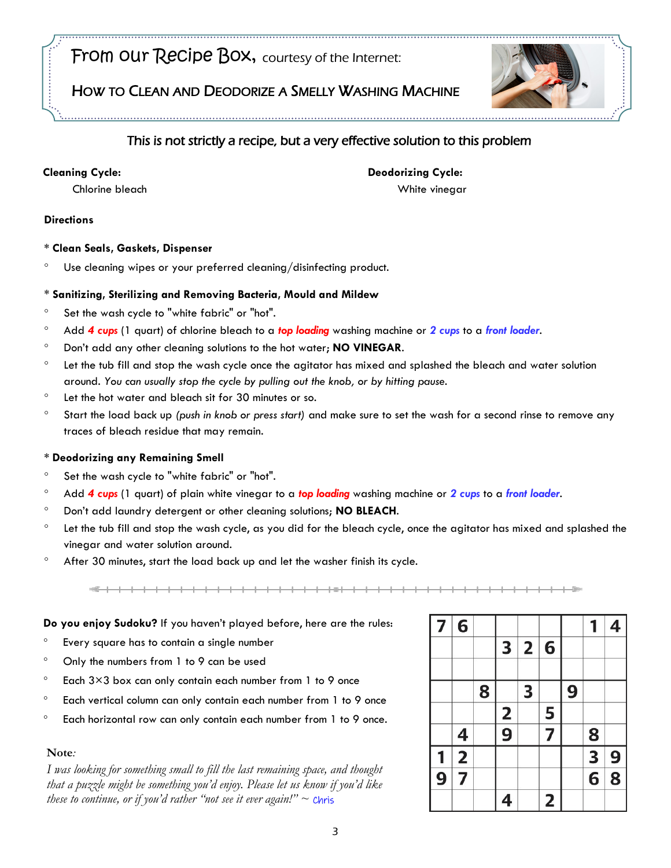## From our Recipe Box, courtesy of the Internet:

### HOW TO CLEAN AND DEODORIZE A SMELLY WASHING MACHINE



## This is not strictly a recipe, but a very effective solution to this problem

#### **Cleaning Cycle:**

**Deodorizing Cycle:**

White vinegar

Chlorine bleach

#### **Directions**

#### **\* Clean Seals, Gaskets, Dispenser**

Use cleaning wipes or your preferred cleaning/disinfecting product.

#### \* **Sanitizing, Sterilizing and Removing Bacteria, Mould and Mildew**

- <sup>o</sup> Set the wash cycle to "white fabric" or "hot".
- Add *4 cups* (1 quart) of chlorine bleach to a *top loading* washing machine or *2 cups* to a *front loader*.
- Don't add any other cleaning solutions to the hot water; **NO VINEGAR**.
- Let the tub fill and stop the wash cycle once the agitator has mixed and splashed the bleach and water solution around. *You can usually stop the cycle by pulling out the knob, or by hitting pause.*
- Let the hot water and bleach sit for 30 minutes or so.
- Start the load back up *(push in knob or press start)* and make sure to set the wash for a second rinse to remove any traces of bleach residue that may remain.

#### **\* Deodorizing any Remaining Smell**

- <sup>o</sup> Set the wash cycle to "white fabric" or "hot".
- Add *4 cups* (1 quart) of plain white vinegar to a *top loading* washing machine or *2 cups* to a *front loader*.
- Don't add laundry detergent or other cleaning solutions; **NO BLEACH**.
- Let the tub fill and stop the wash cycle, as you did for the bleach cycle, once the agitator has mixed and splashed the vinegar and water solution around.
- After 30 minutes, start the load back up and let the washer finish its cycle.

#### **Do you enjoy Sudoku?** If you haven't played before, here are the rules:

- Every square has to contain a single number
- Only the numbers from 1 to 9 can be used
- $\degree$  Each 3×3 box can only contain each number from 1 to 9 once
- Each vertical column can only contain each number from 1 to 9 once
- Each horizontal row can only contain each number from 1 to 9 once.

#### **Note***:*

*I was looking for something small to fill the last remaining space, and thought that a puzzle might be something you'd enjoy. Please let us know if you'd like these to continue, or if you'd rather "not see it ever again!" ~ Chris* 

| $\overline{\mathbf{z}}$ | 6             |   |               |                |                         |   |                         | 4             |
|-------------------------|---------------|---|---------------|----------------|-------------------------|---|-------------------------|---------------|
|                         |               |   | 3             | $\overline{2}$ | 6                       |   |                         |               |
|                         |               |   |               |                |                         |   |                         |               |
|                         |               | 8 |               | 3              |                         | 9 |                         |               |
|                         |               |   |               |                | 5                       |   |                         |               |
|                         | 4             |   | $\frac{2}{9}$ |                | 7                       |   | 8                       |               |
|                         | $\frac{2}{7}$ |   |               |                |                         |   | 3                       |               |
| $\overline{9}$          |               |   |               |                |                         |   | $\overline{\mathbf{6}}$ | $\frac{9}{8}$ |
|                         |               |   |               |                | $\overline{\mathbf{c}}$ |   |                         |               |